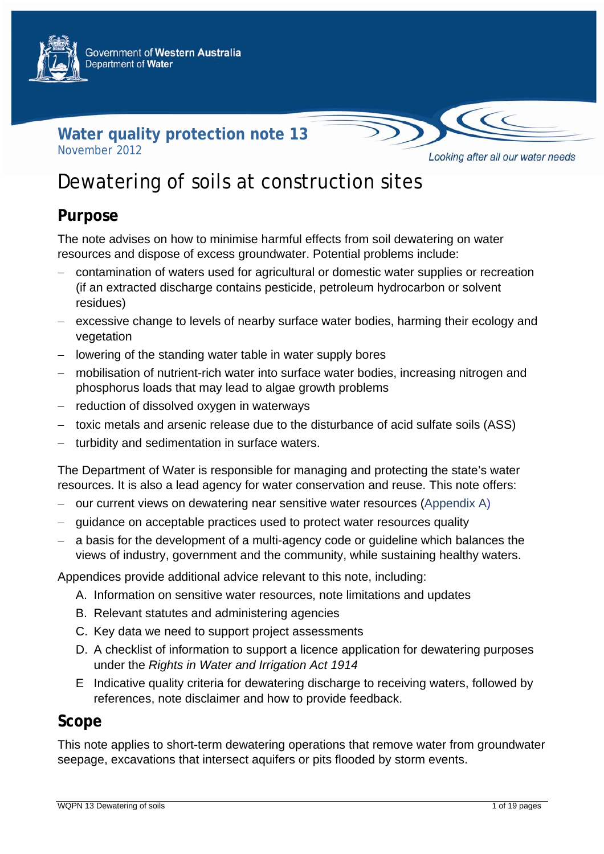



# Dewatering of soils at construction sites

### **Purpose**

The note advises on how to minimise harmful effects from soil dewatering on water resources and dispose of excess groundwater. Potential problems include:

- − contamination of waters used for agricultural or domestic water supplies or recreation (if an extracted discharge contains pesticide, petroleum hydrocarbon or solvent residues)
- − excessive change to levels of nearby surface water bodies, harming their ecology and vegetation
- − lowering of the standing water table in water supply bores
- − mobilisation of nutrient-rich water into surface water bodies, increasing nitrogen and phosphorus loads that may lead to algae growth problems
- − reduction of dissolved oxygen in waterways
- − toxic metals and arsenic release due to the disturbance of acid sulfate soils (ASS)
- − turbidity and sedimentation in surface waters.

The Department of Water is responsible for managing and protecting the state's water resources. It is also a lead agency for water conservation and reuse. This note offers:

- − our current views on dewatering near sensitive water resources (Appendix A)
- − guidance on acceptable practices used to protect water resources quality
- − a basis for the development of a multi-agency code or guideline which balances the views of industry, government and the community, while sustaining healthy waters.

Appendices provide additional advice relevant to this note, including:

- A. Information on sensitive water resources, note limitations and updates
- B. Relevant statutes and administering agencies
- C. Key data we need to support project assessments
- D. A checklist of information to support a licence application for dewatering purposes under the *Rights in Water and Irrigation Act 1914*
- E Indicative quality criteria for dewatering discharge to receiving waters, followed by references, note disclaimer and how to provide feedback.

### **Scope**

This note applies to short-term dewatering operations that remove water from groundwater seepage, excavations that intersect aquifers or pits flooded by storm events.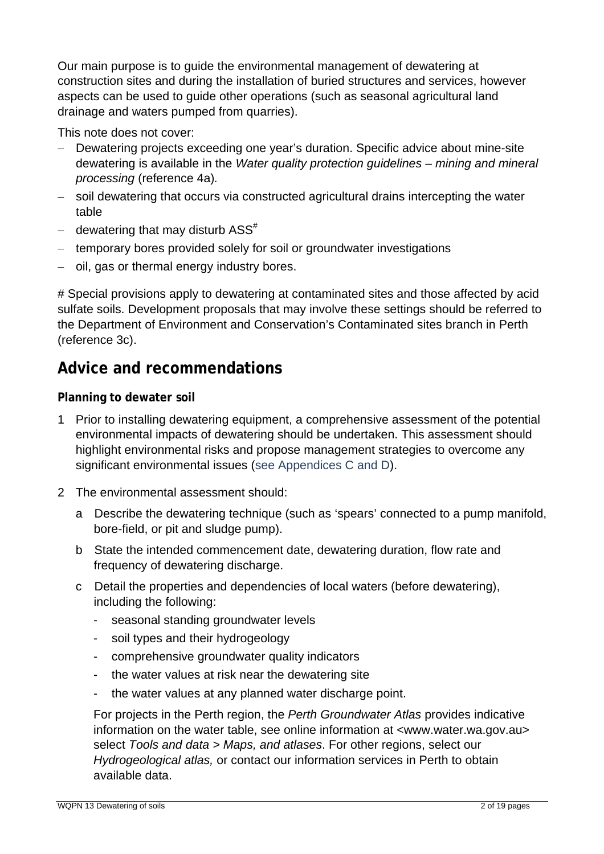Our main purpose is to guide the environmental management of dewatering at construction sites and during the installation of buried structures and services, however aspects can be used to guide other operations (such as seasonal agricultural land drainage and waters pumped from quarries).

This note does not cover:

- − Dewatering projects exceeding one year's duration. Specific advice about mine-site dewatering is available in the *Water quality protection guidelines – mining and mineral processing* (reference 4a)*.*
- − soil dewatering that occurs via constructed agricultural drains intercepting the water table
- − dewatering that may disturb ASS<sup>#</sup>
- − temporary bores provided solely for soil or groundwater investigations
- − oil, gas or thermal energy industry bores.

# Special provisions apply to dewatering at contaminated sites and those affected by acid sulfate soils. Development proposals that may involve these settings should be referred to the Department of Environment and Conservation's Contaminated sites branch in Perth (reference 3c).

## **Advice and recommendations**

#### **Planning to dewater soil**

- 1 Prior to installing dewatering equipment, a comprehensive assessment of the potential environmental impacts of dewatering should be undertaken. This assessment should highlight environmental risks and propose management strategies to overcome any significant environmental issues (see Appendices C and D).
- 2 The environmental assessment should:
	- a Describe the dewatering technique (such as 'spears' connected to a pump manifold, bore-field, or pit and sludge pump).
	- b State the intended commencement date, dewatering duration, flow rate and frequency of dewatering discharge.
	- c Detail the properties and dependencies of local waters (before dewatering), including the following:
		- seasonal standing groundwater levels
		- soil types and their hydrogeology
		- comprehensive groundwater quality indicators
		- the water values at risk near the dewatering site
		- the water values at any planned water discharge point.

For projects in the Perth region, the *Perth Groundwater Atlas* provides indicative information on the water table, see online information at <[www.water.wa.gov.au>](http://www.water.wa.gov.au/) select *Tools and data > Maps, and atlases*. For other regions, select our *Hydrogeological atlas,* or contact our information services in Perth to obtain available data.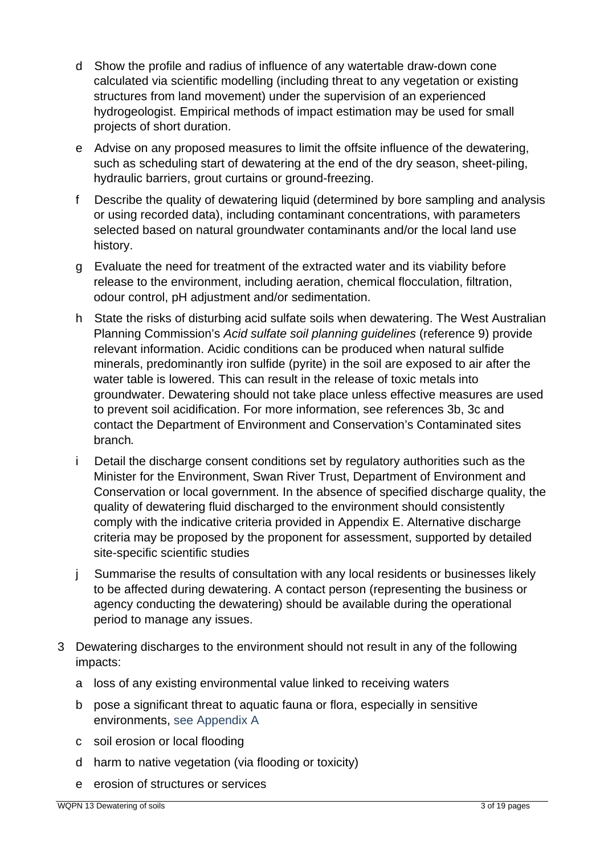- d Show the profile and radius of influence of any watertable draw-down cone calculated via scientific modelling (including threat to any vegetation or existing structures from land movement) under the supervision of an experienced hydrogeologist. Empirical methods of impact estimation may be used for small projects of short duration.
- e Advise on any proposed measures to limit the offsite influence of the dewatering, such as scheduling start of dewatering at the end of the dry season, sheet-piling, hydraulic barriers, grout curtains or ground-freezing.
- f Describe the quality of dewatering liquid (determined by bore sampling and analysis or using recorded data), including contaminant concentrations, with parameters selected based on natural groundwater contaminants and/or the local land use history.
- g Evaluate the need for treatment of the extracted water and its viability before release to the environment, including aeration, chemical flocculation, filtration, odour control, pH adjustment and/or sedimentation.
- h State the risks of disturbing acid sulfate soils when dewatering. The West Australian Planning Commission's *Acid sulfate soil planning guidelines* (reference 9) provide relevant information. Acidic conditions can be produced when natural sulfide minerals, predominantly iron sulfide (pyrite) in the soil are exposed to air after the water table is lowered. This can result in the release of toxic metals into groundwater. Dewatering should not take place unless effective measures are used to prevent soil acidification. For more information, see references 3b, 3c and contact the Department of Environment and Conservation's Contaminated sites branch*.*
- i Detail the discharge consent conditions set by regulatory authorities such as the Minister for the Environment, Swan River Trust, Department of Environment and Conservation or local government. In the absence of specified discharge quality, the quality of dewatering fluid discharged to the environment should consistently comply with the indicative criteria provided in Appendix E. Alternative discharge criteria may be proposed by the proponent for assessment, supported by detailed site-specific scientific studies
- j Summarise the results of consultation with any local residents or businesses likely to be affected during dewatering. A contact person (representing the business or agency conducting the dewatering) should be available during the operational period to manage any issues.
- 3 Dewatering discharges to the environment should not result in any of the following impacts:
	- a loss of any existing environmental value linked to receiving waters
	- b pose a significant threat to aquatic fauna or flora, especially in sensitive environments, see Appendix A
	- c soil erosion or local flooding
	- d harm to native vegetation (via flooding or toxicity)
	- e erosion of structures or services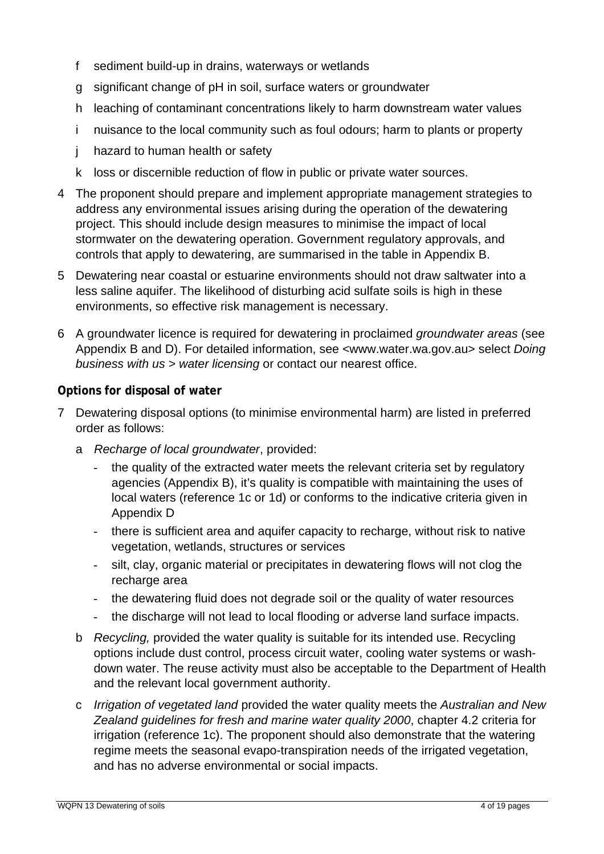- f sediment build-up in drains, waterways or wetlands
- g significant change of pH in soil, surface waters or groundwater
- h leaching of contaminant concentrations likely to harm downstream water values
- i nuisance to the local community such as foul odours; harm to plants or property
- j hazard to human health or safety
- k loss or discernible reduction of flow in public or private water sources.
- 4 The proponent should prepare and implement appropriate management strategies to address any environmental issues arising during the operation of the dewatering project. This should include design measures to minimise the impact of local stormwater on the dewatering operation. Government regulatory approvals, and controls that apply to dewatering, are summarised in the table in Appendix B.
- 5 Dewatering near coastal or estuarine environments should not draw saltwater into a less saline aquifer. The likelihood of disturbing acid sulfate soils is high in these environments, so effective risk management is necessary.
- 6 A groundwater licence is required for dewatering in proclaimed *groundwater areas* (see Appendix B and D). For detailed information, see [<www.water.wa.gov.au](http://www.water.wa.gov.au/)> select *Doing business with us > water licensing* or contact our nearest office.

#### **Options for disposal of water**

- 7 Dewatering disposal options (to minimise environmental harm) are listed in preferred order as follows:
	- a *Recharge of local groundwater*, provided:
		- the quality of the extracted water meets the relevant criteria set by regulatory agencies (Appendix B), it's quality is compatible with maintaining the uses of local waters (reference 1c or 1d) or conforms to the indicative criteria given in Appendix D
		- there is sufficient area and aquifer capacity to recharge, without risk to native vegetation, wetlands, structures or services
		- silt, clay, organic material or precipitates in dewatering flows will not clog the recharge area
		- the dewatering fluid does not degrade soil or the quality of water resources
		- the discharge will not lead to local flooding or adverse land surface impacts.
	- b *Recycling,* provided the water quality is suitable for its intended use. Recycling options include dust control, process circuit water, cooling water systems or washdown water. The reuse activity must also be acceptable to the Department of Health and the relevant local government authority.
	- c *Irrigation of vegetated land* provided the water quality meets the *Australian and New Zealand guidelines for fresh and marine water quality 2000*, chapter 4.2 criteria for irrigation (reference 1c). The proponent should also demonstrate that the watering regime meets the seasonal evapo-transpiration needs of the irrigated vegetation, and has no adverse environmental or social impacts.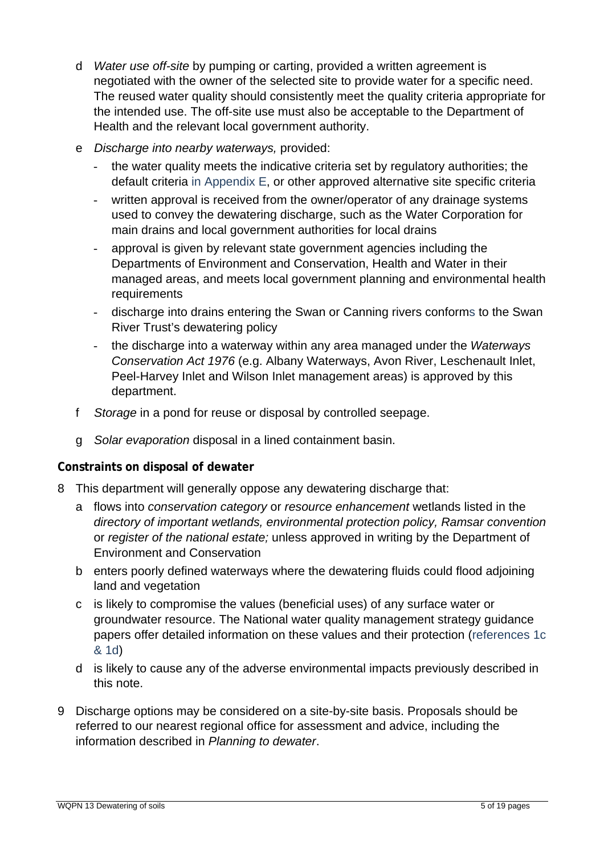- d *Water use off-site* by pumping or carting, provided a written agreement is negotiated with the owner of the selected site to provide water for a specific need. The reused water quality should consistently meet the quality criteria appropriate for the intended use. The off-site use must also be acceptable to the Department of Health and the relevant local government authority.
- e *Discharge into nearby waterways,* provided:
	- the water quality meets the indicative criteria set by regulatory authorities; the default criteria in Appendix E, or other approved alternative site specific criteria
	- written approval is received from the owner/operator of any drainage systems used to convey the dewatering discharge, such as the Water Corporation for main drains and local government authorities for local drains
	- approval is given by relevant state government agencies including the Departments of Environment and Conservation, Health and Water in their managed areas, and meets local government planning and environmental health requirements
	- discharge into drains entering the Swan or Canning rivers conforms to the Swan River Trust's dewatering policy
	- the discharge into a waterway within any area managed under the *Waterways Conservation Act 1976* (e.g. Albany Waterways, Avon River, Leschenault Inlet, Peel-Harvey Inlet and Wilson Inlet management areas) is approved by this department.
- f *Storage* in a pond for reuse or disposal by controlled seepage.
- g *Solar evaporation* disposal in a lined containment basin.

#### **Constraints on disposal of dewater**

- 8 This department will generally oppose any dewatering discharge that:
	- a flows into *conservation category* or *resource enhancement* wetlands listed in the *directory of important wetlands, environmental protection policy, Ramsar convention*  or *register of the national estate;* unless approved in writing by the Department of Environment and Conservation
	- b enters poorly defined waterways where the dewatering fluids could flood adjoining land and vegetation
	- c is likely to compromise the values (beneficial uses) of any surface water or groundwater resource. The National water quality management strategy guidance papers offer detailed information on these values and their protection (references 1c & 1d)
	- d is likely to cause any of the adverse environmental impacts previously described in this note.
- 9 Discharge options may be considered on a site-by-site basis. Proposals should be referred to our nearest regional office for assessment and advice, including the information described in *Planning to dewater*.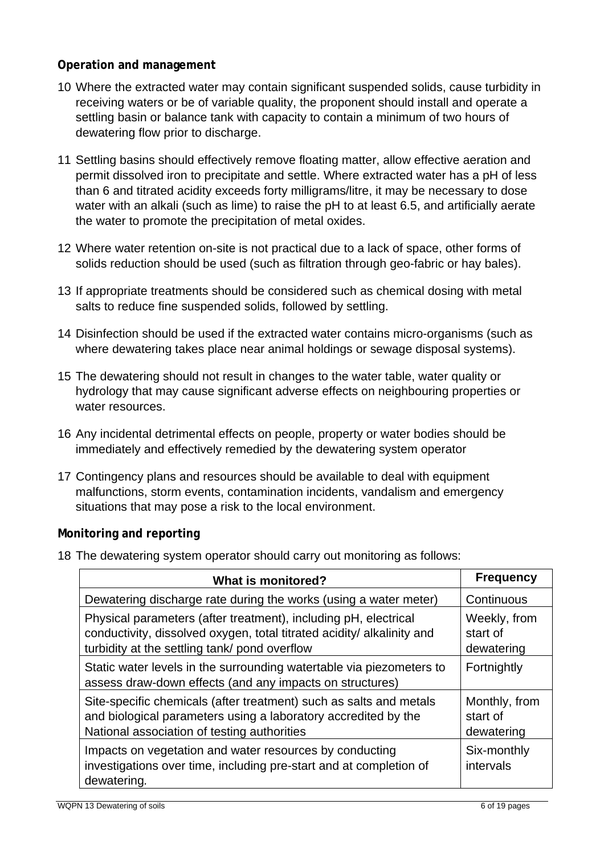#### **Operation and management**

- 10 Where the extracted water may contain significant suspended solids, cause turbidity in receiving waters or be of variable quality, the proponent should install and operate a settling basin or balance tank with capacity to contain a minimum of two hours of dewatering flow prior to discharge.
- 11 Settling basins should effectively remove floating matter, allow effective aeration and permit dissolved iron to precipitate and settle. Where extracted water has a pH of less than 6 and titrated acidity exceeds forty milligrams/litre, it may be necessary to dose water with an alkali (such as lime) to raise the pH to at least 6.5, and artificially aerate the water to promote the precipitation of metal oxides.
- 12 Where water retention on-site is not practical due to a lack of space, other forms of solids reduction should be used (such as filtration through geo-fabric or hay bales).
- 13 If appropriate treatments should be considered such as chemical dosing with metal salts to reduce fine suspended solids, followed by settling.
- 14 Disinfection should be used if the extracted water contains micro-organisms (such as where dewatering takes place near animal holdings or sewage disposal systems).
- 15 The dewatering should not result in changes to the water table, water quality or hydrology that may cause significant adverse effects on neighbouring properties or water resources.
- 16 Any incidental detrimental effects on people, property or water bodies should be immediately and effectively remedied by the dewatering system operator
- 17 Contingency plans and resources should be available to deal with equipment malfunctions, storm events, contamination incidents, vandalism and emergency situations that may pose a risk to the local environment.

#### **Monitoring and reporting**

18 The dewatering system operator should carry out monitoring as follows:

| What is monitored?                                                                                                                                                                         | <b>Frequency</b>                        |
|--------------------------------------------------------------------------------------------------------------------------------------------------------------------------------------------|-----------------------------------------|
| Dewatering discharge rate during the works (using a water meter)                                                                                                                           | Continuous                              |
| Physical parameters (after treatment), including pH, electrical<br>conductivity, dissolved oxygen, total titrated acidity/ alkalinity and<br>turbidity at the settling tank/ pond overflow | Weekly, from<br>start of<br>dewatering  |
| Static water levels in the surrounding watertable via piezometers to<br>assess draw-down effects (and any impacts on structures)                                                           | Fortnightly                             |
| Site-specific chemicals (after treatment) such as salts and metals<br>and biological parameters using a laboratory accredited by the<br>National association of testing authorities        | Monthly, from<br>start of<br>dewatering |
| Impacts on vegetation and water resources by conducting<br>investigations over time, including pre-start and at completion of<br>dewatering.                                               | Six-monthly<br>intervals                |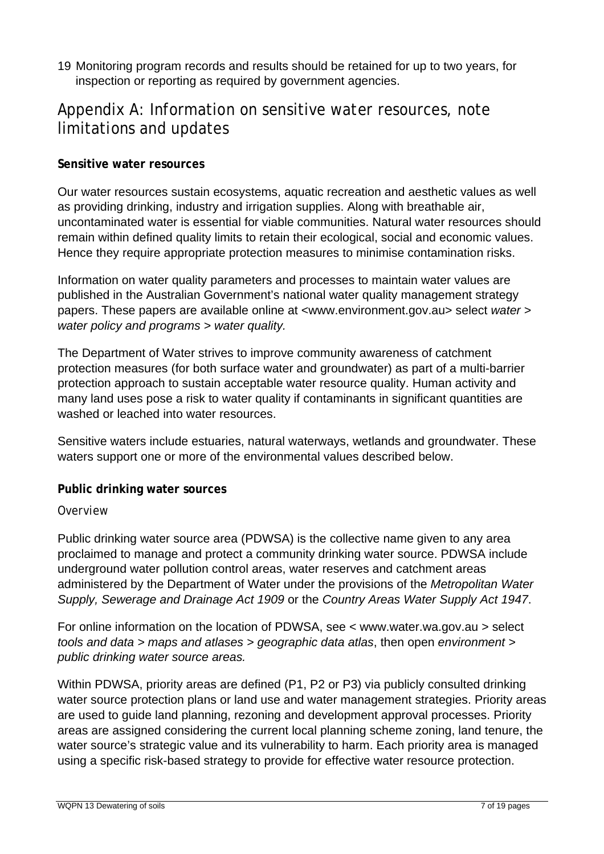19 Monitoring program records and results should be retained for up to two years, for inspection or reporting as required by government agencies.

### Appendix A: Information on sensitive water resources, note limitations and updates

#### **Sensitive water resources**

Our water resources sustain ecosystems, aquatic recreation and aesthetic values as well as providing drinking, industry and irrigation supplies. Along with breathable air, uncontaminated water is essential for viable communities. Natural water resources should remain within defined quality limits to retain their ecological, social and economic values. Hence they require appropriate protection measures to minimise contamination risks.

Information on water quality parameters and processes to maintain water values are published in the Australian Government's national water quality management strategy papers. These papers are available online at <[www.environment.gov.au>](http://www.environment.gov.au/) select *water > water policy and programs > water quality.* 

The Department of Water strives to improve community awareness of catchment protection measures (for both surface water and groundwater) as part of a multi-barrier protection approach to sustain acceptable water resource quality. Human activity and many land uses pose a risk to water quality if contaminants in significant quantities are washed or leached into water resources.

Sensitive waters include estuaries, natural waterways, wetlands and groundwater. These waters support one or more of the environmental values described below.

#### **Public drinking water sources**

#### *Overview*

Public drinking water source area (PDWSA) is the collective name given to any area proclaimed to manage and protect a community drinking water source. PDWSA include underground water pollution control areas, water reserves and catchment areas administered by the Department of Water under the provisions of the *Metropolitan Water Supply, Sewerage and Drainage Act 1909* or the *Country Areas Water Supply Act 1947*.

For online information on the location of PDWSA, see < [www.water.wa.gov.au](http://www.water.wa.gov.au/) > select *tools and data > maps and atlases > geographic data atlas*, then open *environment > public drinking water source areas.* 

Within PDWSA, priority areas are defined (P1, P2 or P3) via publicly consulted drinking water source protection plans or land use and water management strategies. Priority areas are used to guide land planning, rezoning and development approval processes. Priority areas are assigned considering the current local planning scheme zoning, land tenure, the water source's strategic value and its vulnerability to harm. Each priority area is managed using a specific risk-based strategy to provide for effective water resource protection.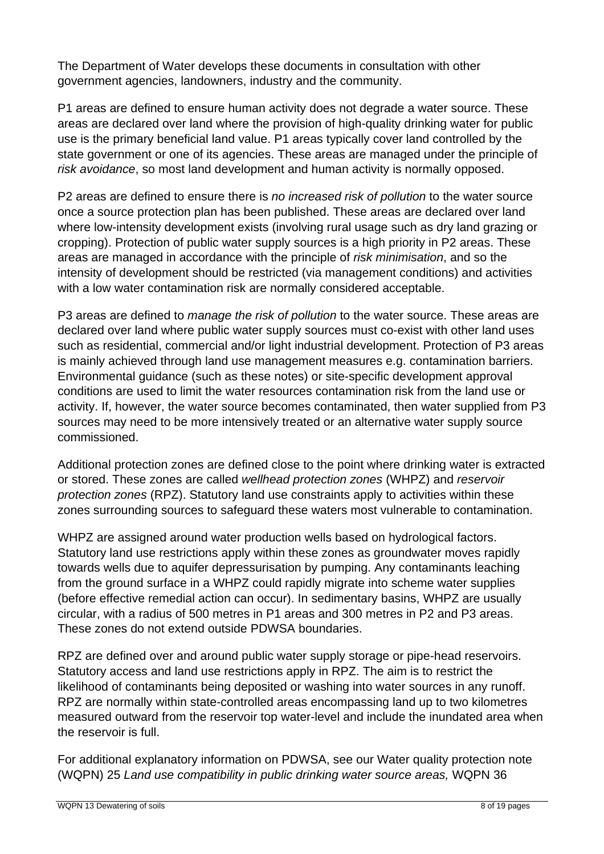The Department of Water develops these documents in consultation with other government agencies, landowners, industry and the community.

P1 areas are defined to ensure human activity does not degrade a water source. These areas are declared over land where the provision of high-quality drinking water for public use is the primary beneficial land value. P1 areas typically cover land controlled by the state government or one of its agencies. These areas are managed under the principle of *risk avoidance*, so most land development and human activity is normally opposed.

P2 areas are defined to ensure there is *no increased risk of pollution* to the water source once a source protection plan has been published. These areas are declared over land where low-intensity development exists (involving rural usage such as dry land grazing or cropping). Protection of public water supply sources is a high priority in P2 areas. These areas are managed in accordance with the principle of *risk minimisation*, and so the intensity of development should be restricted (via management conditions) and activities with a low water contamination risk are normally considered acceptable.

P3 areas are defined to *manage the risk of pollution* to the water source. These areas are declared over land where public water supply sources must co-exist with other land uses such as residential, commercial and/or light industrial development. Protection of P3 areas is mainly achieved through land use management measures e.g. contamination barriers. Environmental guidance (such as these notes) or site-specific development approval conditions are used to limit the water resources contamination risk from the land use or activity. If, however, the water source becomes contaminated, then water supplied from P3 sources may need to be more intensively treated or an alternative water supply source commissioned.

Additional protection zones are defined close to the point where drinking water is extracted or stored. These zones are called *wellhead protection zones* (WHPZ) and *reservoir protection zones* (RPZ). Statutory land use constraints apply to activities within these zones surrounding sources to safeguard these waters most vulnerable to contamination.

WHPZ are assigned around water production wells based on hydrological factors. Statutory land use restrictions apply within these zones as groundwater moves rapidly towards wells due to aquifer depressurisation by pumping. Any contaminants leaching from the ground surface in a WHPZ could rapidly migrate into scheme water supplies (before effective remedial action can occur). In sedimentary basins, WHPZ are usually circular, with a radius of 500 metres in P1 areas and 300 metres in P2 and P3 areas. These zones do not extend outside PDWSA boundaries.

RPZ are defined over and around public water supply storage or pipe-head reservoirs. Statutory access and land use restrictions apply in RPZ. The aim is to restrict the likelihood of contaminants being deposited or washing into water sources in any runoff. RPZ are normally within state-controlled areas encompassing land up to two kilometres measured outward from the reservoir top water-level and include the inundated area when the reservoir is full.

For additional explanatory information on PDWSA, see our Water quality protection note (WQPN) 25 *Land use compatibility in public drinking water source areas,* WQPN 36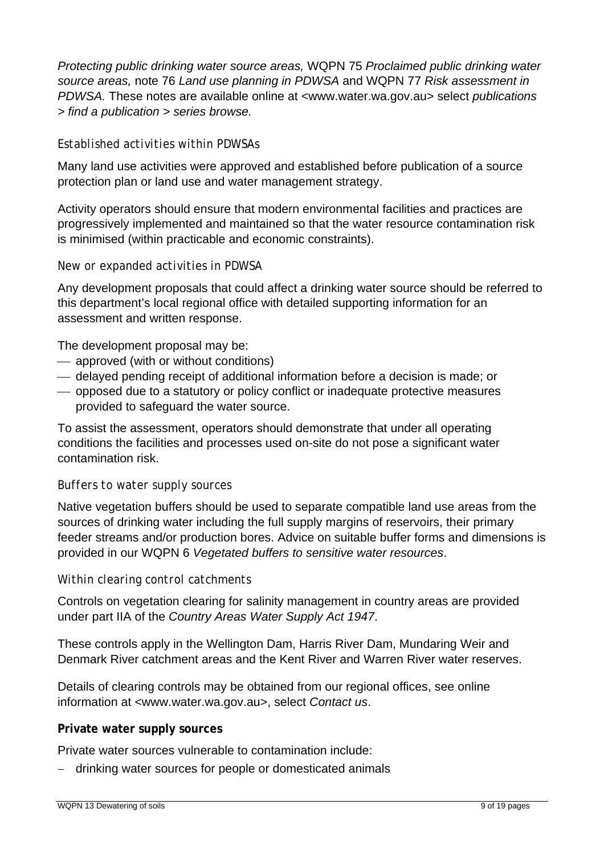*Protecting public drinking water source areas,* WQPN 75 *Proclaimed public drinking water source areas,* note 76 *Land use planning in PDWSA* and WQPN 77 *Risk assessment in PDWSA.* These notes are available online at <[www.water.wa.gov.au](http://www.water.wa.gov.au/)> select *publications > find a publication > series browse.*

#### *Established activities within PDWSAs*

Many land use activities were approved and established before publication of a source protection plan or land use and water management strategy.

Activity operators should ensure that modern environmental facilities and practices are progressively implemented and maintained so that the water resource contamination risk is minimised (within practicable and economic constraints).

#### *New or expanded activities in PDWSA*

Any development proposals that could affect a drinking water source should be referred to this department's local regional office with detailed supporting information for an assessment and written response.

The development proposal may be:

- ⎯ approved (with or without conditions)
- ⎯ delayed pending receipt of additional information before a decision is made; or
- ⎯ opposed due to a statutory or policy conflict or inadequate protective measures provided to safeguard the water source.

To assist the assessment, operators should demonstrate that under all operating conditions the facilities and processes used on-site do not pose a significant water contamination risk.

#### *Buffers to water supply sources*

Native vegetation buffers should be used to separate compatible land use areas from the sources of drinking water including the full supply margins of reservoirs, their primary feeder streams and/or production bores. Advice on suitable buffer forms and dimensions is provided in our WQPN 6 *Vegetated buffers to sensitive water resources*.

#### *Within clearing control catchments*

Controls on vegetation clearing for salinity management in country areas are provided under part IIA of the *Country Areas Water Supply Act 1947*.

These controls apply in the Wellington Dam, Harris River Dam, Mundaring Weir and Denmark River catchment areas and the Kent River and Warren River water reserves.

Details of clearing controls may be obtained from our regional offices, see online information at <[www.water.wa.gov.au](http://www.water.wa.gov.au/)>, select *Contact us*.

#### **Private water supply sources**

Private water sources vulnerable to contamination include:

− drinking water sources for people or domesticated animals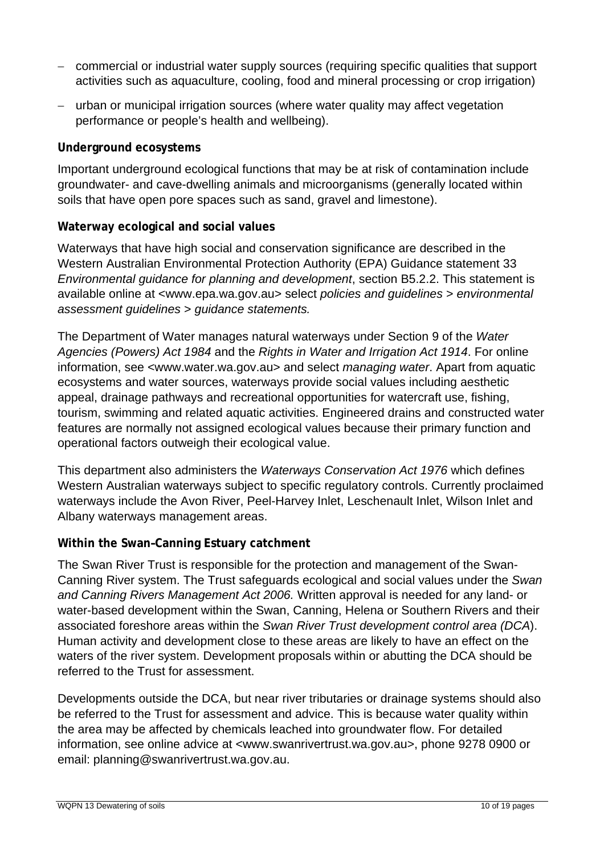- − commercial or industrial water supply sources (requiring specific qualities that support activities such as aquaculture, cooling, food and mineral processing or crop irrigation)
- − urban or municipal irrigation sources (where water quality may affect vegetation performance or people's health and wellbeing).

#### **Underground ecosystems**

Important underground ecological functions that may be at risk of contamination include groundwater- and cave-dwelling animals and microorganisms (generally located within soils that have open pore spaces such as sand, gravel and limestone).

#### **Waterway ecological and social values**

Waterways that have high social and conservation significance are described in the Western Australian Environmental Protection Authority (EPA) Guidance statement 33 *Environmental guidance for planning and development*, section B5.2.2. This statement is available online at [<www.epa.wa.gov.au](http://www.epa.wa.gov.au/)> select *policies and guidelines* > *environmental assessment guidelines* > *guidance statements.*

The Department of Water manages natural waterways under Section 9 of the *Water Agencies (Powers) Act 1984* and the *Rights in Water and Irrigation Act 1914*. For online information, see [<www.water.wa.gov.au](http://www.water.wa.gov.au/)> and select *managing water*. Apart from aquatic ecosystems and water sources, waterways provide social values including aesthetic appeal, drainage pathways and recreational opportunities for watercraft use, fishing, tourism, swimming and related aquatic activities. Engineered drains and constructed water features are normally not assigned ecological values because their primary function and operational factors outweigh their ecological value.

This department also administers the *Waterways Conservation Act 1976* which defines Western Australian waterways subject to specific regulatory controls. Currently proclaimed waterways include the Avon River, Peel-Harvey Inlet, Leschenault Inlet, Wilson Inlet and Albany waterways management areas.

#### **Within the Swan–Canning Estuary catchment**

The Swan River Trust is responsible for the protection and management of the Swan-Canning River system. The Trust safeguards ecological and social values under the *Swan and Canning Rivers Management Act 2006.* Written approval is needed for any land- or water-based development within the Swan, Canning, Helena or Southern Rivers and their associated foreshore areas within the *Swan River Trust development control area (DCA*). Human activity and development close to these areas are likely to have an effect on the waters of the river system. Development proposals within or abutting the DCA should be referred to the Trust for assessment.

Developments outside the DCA, but near river tributaries or drainage systems should also be referred to the Trust for assessment and advice. This is because water quality within the area may be affected by chemicals leached into groundwater flow. For detailed information, see online advice at [<www.swanrivertrust.wa.gov.au](http://www.swanrivertrust.wa.gov.au/)>, phone 9278 0900 or email: [planning@swanrivertrust.wa.gov.au](mailto:planning@swanrivertrust.wa.gov.au).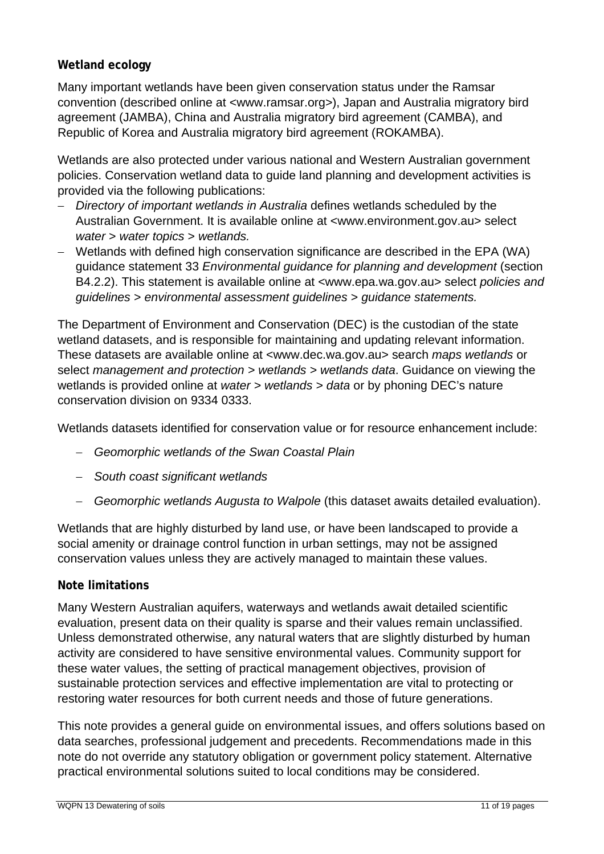#### **Wetland ecology**

Many important wetlands have been given conservation status under the Ramsar convention (described online at [<www.ramsar.org](http://www.ramsar.org/)*>*), Japan and Australia migratory bird agreement (JAMBA), China and Australia migratory bird agreement (CAMBA), and Republic of Korea and Australia migratory bird agreement (ROKAMBA).

Wetlands are also protected under various national and Western Australian government policies. Conservation wetland data to guide land planning and development activities is provided via the following publications:

- − *Directory of important wetlands in Australia* defines wetlands scheduled by the Australian Government. It is available online at [<www.environment.gov.au](http://www.environment.gov.au/)> select *water* > *water topics* > *wetlands.*
- − Wetlands with defined high conservation significance are described in the EPA (WA) guidance statement 33 *Environmental guidance for planning and development* (section B4.2.2). This statement is available online at [<www.epa.wa.gov.au>](http://www.epa.wa.gov.au/) select *policies and guidelines* > *environmental assessment guidelines* > *guidance statements.*

The Department of Environment and Conservation (DEC) is the custodian of the state wetland datasets, and is responsible for maintaining and updating relevant information. These datasets are available online at [<www.dec.wa.gov.au>](http://www.dec.wa.gov.au/) search *maps wetlands* or select *management and protection > wetlands > wetlands data*. Guidance on viewing the wetlands is provided online at *water > wetlands > data* or by phoning DEC's nature conservation division on 9334 0333.

Wetlands datasets identified for conservation value or for resource enhancement include:

- − *Geomorphic wetlands of the Swan Coastal Plain*
- − *South coast significant wetlands*
- − *Geomorphic wetlands Augusta to Walpole* (this dataset awaits detailed evaluation).

Wetlands that are highly disturbed by land use, or have been landscaped to provide a social amenity or drainage control function in urban settings, may not be assigned conservation values unless they are actively managed to maintain these values.

#### **Note limitations**

Many Western Australian aquifers, waterways and wetlands await detailed scientific evaluation, present data on their quality is sparse and their values remain unclassified. Unless demonstrated otherwise, any natural waters that are slightly disturbed by human activity are considered to have sensitive environmental values. Community support for these water values, the setting of practical management objectives, provision of sustainable protection services and effective implementation are vital to protecting or restoring water resources for both current needs and those of future generations.

This note provides a general guide on environmental issues, and offers solutions based on data searches, professional judgement and precedents. Recommendations made in this note do not override any statutory obligation or government policy statement. Alternative practical environmental solutions suited to local conditions may be considered.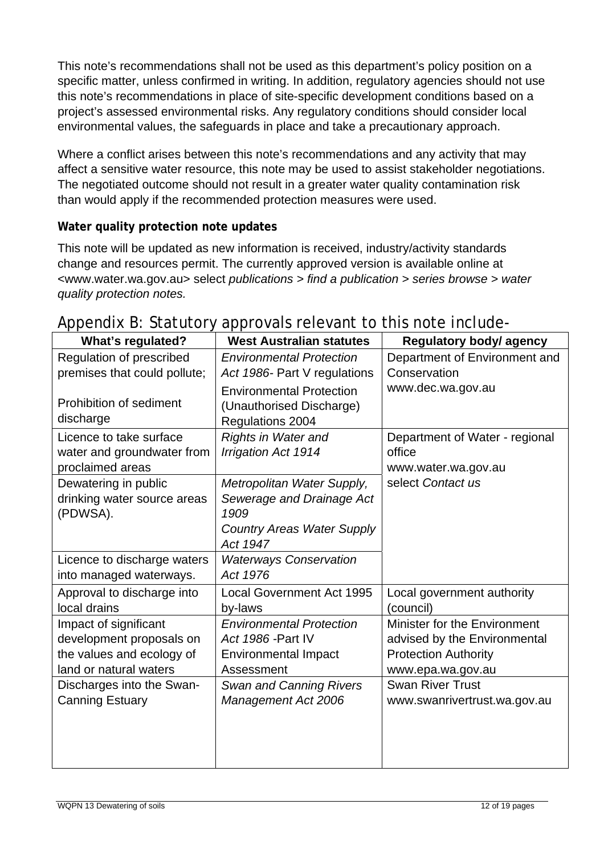This note's recommendations shall not be used as this department's policy position on a specific matter, unless confirmed in writing. In addition, regulatory agencies should not use this note's recommendations in place of site-specific development conditions based on a project's assessed environmental risks. Any regulatory conditions should consider local environmental values, the safeguards in place and take a precautionary approach.

Where a conflict arises between this note's recommendations and any activity that may affect a sensitive water resource, this note may be used to assist stakeholder negotiations. The negotiated outcome should not result in a greater water quality contamination risk than would apply if the recommended protection measures were used.

#### **Water quality protection note updates**

This note will be updated as new information is received, industry/activity standards change and resources permit. The currently approved version is available online at <[www.water.wa.gov.au](http://www.water.wa.gov.au/)> select *publications > find a publication > series browse > water quality protection notes.* 

| <b>What's regulated?</b>     | <b>West Australian statutes</b>   | <b>Regulatory body/agency</b>  |
|------------------------------|-----------------------------------|--------------------------------|
| Regulation of prescribed     | <b>Environmental Protection</b>   | Department of Environment and  |
| premises that could pollute; | Act 1986- Part V regulations      | Conservation                   |
|                              | <b>Environmental Protection</b>   | www.dec.wa.gov.au              |
| Prohibition of sediment      | (Unauthorised Discharge)          |                                |
| discharge                    | Regulations 2004                  |                                |
| Licence to take surface      | <b>Rights in Water and</b>        | Department of Water - regional |
| water and groundwater from   | <b>Irrigation Act 1914</b>        | office                         |
| proclaimed areas             |                                   | www.water.wa.gov.au            |
| Dewatering in public         | Metropolitan Water Supply,        | select Contact us              |
| drinking water source areas  | Sewerage and Drainage Act         |                                |
| (PDWSA).                     | 1909                              |                                |
|                              | <b>Country Areas Water Supply</b> |                                |
|                              | Act 1947                          |                                |
| Licence to discharge waters  | <b>Waterways Conservation</b>     |                                |
| into managed waterways.      | Act 1976                          |                                |
| Approval to discharge into   | <b>Local Government Act 1995</b>  | Local government authority     |
| local drains                 | by-laws                           | (council)                      |
| Impact of significant        | <b>Environmental Protection</b>   | Minister for the Environment   |
| development proposals on     | Act 1986 - Part IV                | advised by the Environmental   |
| the values and ecology of    | <b>Environmental Impact</b>       | <b>Protection Authority</b>    |
| land or natural waters       | Assessment                        | www.epa.wa.gov.au              |
| Discharges into the Swan-    | <b>Swan and Canning Rivers</b>    | <b>Swan River Trust</b>        |
| <b>Canning Estuary</b>       | Management Act 2006               | www.swanrivertrust.wa.gov.au   |
|                              |                                   |                                |
|                              |                                   |                                |
|                              |                                   |                                |
|                              |                                   |                                |

### Appendix B: Statutory approvals relevant to this note include-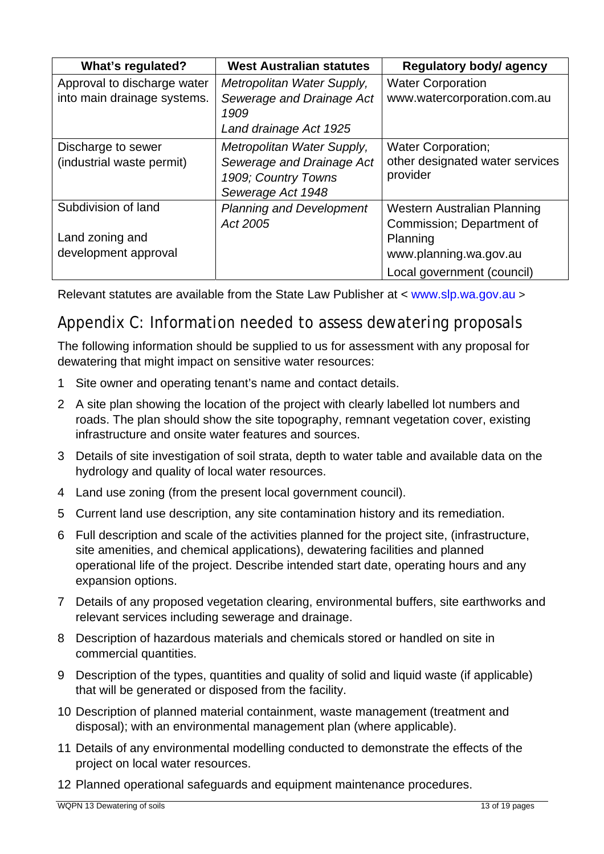| What's regulated?           | <b>West Australian statutes</b>   | Regulatory body/ agency         |
|-----------------------------|-----------------------------------|---------------------------------|
| Approval to discharge water | Metropolitan Water Supply,        | <b>Water Corporation</b>        |
| into main drainage systems. | Sewerage and Drainage Act<br>1909 | www.watercorporation.com.au     |
|                             | Land drainage Act 1925            |                                 |
| Discharge to sewer          | Metropolitan Water Supply,        | <b>Water Corporation;</b>       |
| (industrial waste permit)   | Sewerage and Drainage Act         | other designated water services |
|                             | 1909; Country Towns               | provider                        |
|                             | Sewerage Act 1948                 |                                 |
| Subdivision of land         | <b>Planning and Development</b>   | Western Australian Planning     |
|                             | Act 2005                          | Commission; Department of       |
| Land zoning and             |                                   | Planning                        |
| development approval        |                                   | www.planning.wa.gov.au          |
|                             |                                   | Local government (council)      |

Relevant statutes are available from the State Law Publisher at < [www.slp.wa.gov.au](http://www.slp.wa.gov.au/) >

# Appendix C: Information needed to assess dewatering proposals

The following information should be supplied to us for assessment with any proposal for dewatering that might impact on sensitive water resources:

- 1 Site owner and operating tenant's name and contact details.
- 2 A site plan showing the location of the project with clearly labelled lot numbers and roads. The plan should show the site topography, remnant vegetation cover, existing infrastructure and onsite water features and sources.
- 3 Details of site investigation of soil strata, depth to water table and available data on the hydrology and quality of local water resources.
- 4 Land use zoning (from the present local government council).
- 5 Current land use description, any site contamination history and its remediation.
- 6 Full description and scale of the activities planned for the project site, (infrastructure, site amenities, and chemical applications), dewatering facilities and planned operational life of the project. Describe intended start date, operating hours and any expansion options.
- 7 Details of any proposed vegetation clearing, environmental buffers, site earthworks and relevant services including sewerage and drainage.
- 8 Description of hazardous materials and chemicals stored or handled on site in commercial quantities.
- 9 Description of the types, quantities and quality of solid and liquid waste (if applicable) that will be generated or disposed from the facility.
- 10 Description of planned material containment, waste management (treatment and disposal); with an environmental management plan (where applicable).
- 11 Details of any environmental modelling conducted to demonstrate the effects of the project on local water resources.
- 12 Planned operational safeguards and equipment maintenance procedures.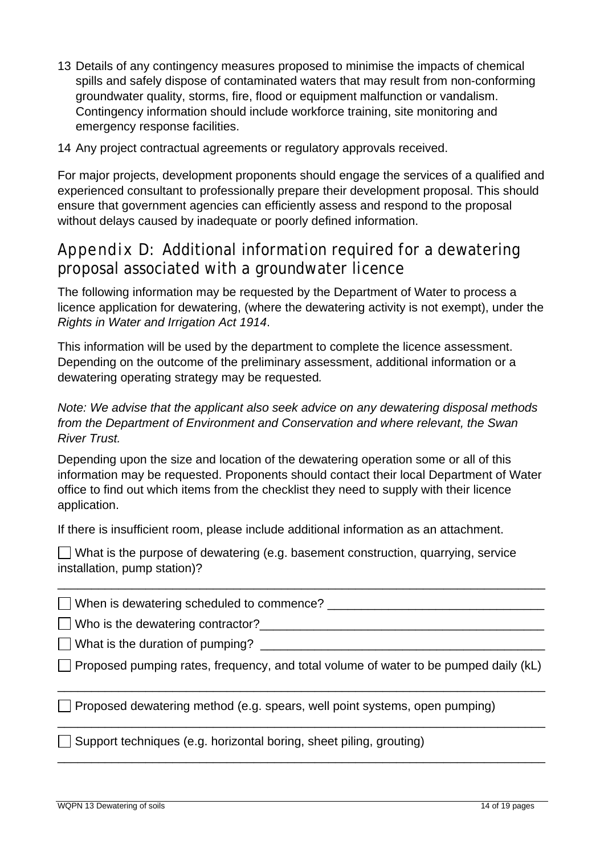- 13 Details of any contingency measures proposed to minimise the impacts of chemical spills and safely dispose of contaminated waters that may result from non-conforming groundwater quality, storms, fire, flood or equipment malfunction or vandalism. Contingency information should include workforce training, site monitoring and emergency response facilities.
- 14 Any project contractual agreements or regulatory approvals received.

For major projects, development proponents should engage the services of a qualified and experienced consultant to professionally prepare their development proposal. This should ensure that government agencies can efficiently assess and respond to the proposal without delays caused by inadequate or poorly defined information.

### Appendix D: Additional information required for a dewatering proposal associated with a groundwater licence

The following information may be requested by the Department of Water to process a licence application for dewatering, (where the dewatering activity is not exempt), under the *Rights in Water and Irrigation Act 1914*.

This information will be used by the department to complete the licence assessment. Depending on the outcome of the preliminary assessment, additional information or a dewatering operating strategy may be requested*.*

*Note: We advise that the applicant also seek advice on any dewatering disposal methods from the Department of Environment and Conservation and where relevant, the Swan River Trust.* 

Depending upon the size and location of the dewatering operation some or all of this information may be requested. Proponents should contact their local Department of Water office to find out which items from the checklist they need to supply with their licence application.

If there is insufficient room, please include additional information as an attachment.

 $\Box$  What is the purpose of dewatering (e.g. basement construction, quarrying, service installation, pump station)?

 $\Box$  When is dewatering scheduled to commence?

Who is the dewatering contractor?\_\_\_\_\_\_\_\_\_\_\_\_\_\_\_\_\_\_\_\_\_\_\_\_\_\_\_\_\_\_\_\_\_\_\_\_\_\_\_\_\_\_

 $\Box$  What is the duration of pumping?

 $\Box$  Proposed pumping rates, frequency, and total volume of water to be pumped daily (kL)

\_\_\_\_\_\_\_\_\_\_\_\_\_\_\_\_\_\_\_\_\_\_\_\_\_\_\_\_\_\_\_\_\_\_\_\_\_\_\_\_\_\_\_\_\_\_\_\_\_\_\_\_\_\_\_\_\_\_\_\_\_\_\_\_\_\_\_\_\_\_\_\_

\_\_\_\_\_\_\_\_\_\_\_\_\_\_\_\_\_\_\_\_\_\_\_\_\_\_\_\_\_\_\_\_\_\_\_\_\_\_\_\_\_\_\_\_\_\_\_\_\_\_\_\_\_\_\_\_\_\_\_\_\_\_\_\_\_\_\_\_\_\_\_\_

\_\_\_\_\_\_\_\_\_\_\_\_\_\_\_\_\_\_\_\_\_\_\_\_\_\_\_\_\_\_\_\_\_\_\_\_\_\_\_\_\_\_\_\_\_\_\_\_\_\_\_\_\_\_\_\_\_\_\_\_\_\_\_\_\_\_\_\_\_\_\_\_

\_\_\_\_\_\_\_\_\_\_\_\_\_\_\_\_\_\_\_\_\_\_\_\_\_\_\_\_\_\_\_\_\_\_\_\_\_\_\_\_\_\_\_\_\_\_\_\_\_\_\_\_\_\_\_\_\_\_\_\_\_\_\_\_\_\_\_\_\_\_\_\_

 $\Box$  Proposed dewatering method (e.g. spears, well point systems, open pumping)

 $\Box$  Support techniques (e.g. horizontal boring, sheet piling, grouting)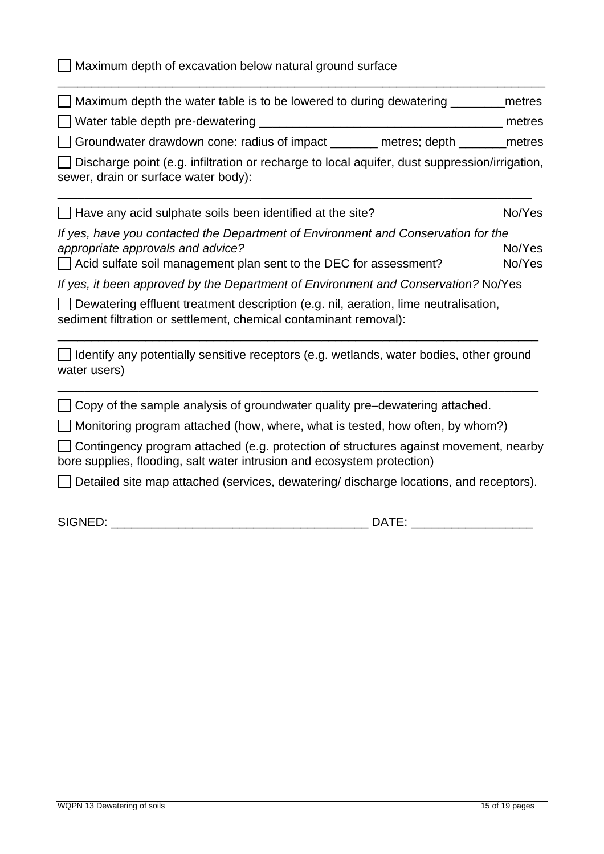$\Box$  Maximum depth of excavation below natural ground surface

| $\Box$ Maximum depth the water table is to be lowered to during dewatering                      | metres |
|-------------------------------------------------------------------------------------------------|--------|
| Water table depth pre-dewatering                                                                | metres |
| $\Box$ Groundwater drawdown cone: radius of impact<br>metres; depth                             | metres |
| □ Discharge point (e.g. infiltration or recharge to local aquifer, dust suppression/irrigation, |        |
| sewer, drain or surface water body):                                                            |        |

\_\_\_\_\_\_\_\_\_\_\_\_\_\_\_\_\_\_\_\_\_\_\_\_\_\_\_\_\_\_\_\_\_\_\_\_\_\_\_\_\_\_\_\_\_\_\_\_\_\_\_\_\_\_\_\_\_\_\_\_\_\_\_\_\_\_\_\_\_\_\_\_

 $\Box$  Have any acid sulphate soils been identified at the site?  $N_0$ <sup>No</sup>/Yes *If yes, have you contacted the Department of Environment and Conservation for the appropriate approvals and advice?* All the set of the set of the set of the No/Yes  $\Box$  Acid sulfate soil management plan sent to the DEC for assessment?  $\Box$  No/Yes

\_\_\_\_\_\_\_\_\_\_\_\_\_\_\_\_\_\_\_\_\_\_\_\_\_\_\_\_\_\_\_\_\_\_\_\_\_\_\_\_\_\_\_\_\_\_\_\_\_\_\_\_\_\_\_\_\_\_\_\_\_\_\_\_\_\_\_\_\_\_

*If yes, it been approved by the Department of Environment and Conservation?* No/Yes

Dewatering effluent treatment description (e.g. nil, aeration, lime neutralisation, sediment filtration or settlement, chemical contaminant removal):

 $\Box$  Identify any potentially sensitive receptors (e.g. wetlands, water bodies, other ground water users)

\_\_\_\_\_\_\_\_\_\_\_\_\_\_\_\_\_\_\_\_\_\_\_\_\_\_\_\_\_\_\_\_\_\_\_\_\_\_\_\_\_\_\_\_\_\_\_\_\_\_\_\_\_\_\_\_\_\_\_\_\_\_\_\_\_\_\_\_\_\_\_

\_\_\_\_\_\_\_\_\_\_\_\_\_\_\_\_\_\_\_\_\_\_\_\_\_\_\_\_\_\_\_\_\_\_\_\_\_\_\_\_\_\_\_\_\_\_\_\_\_\_\_\_\_\_\_\_\_\_\_\_\_\_\_\_\_\_\_\_\_\_\_

 $\Box$  Copy of the sample analysis of groundwater quality pre-dewatering attached.

 $\Box$  Monitoring program attached (how, where, what is tested, how often, by whom?)

 $\Box$  Contingency program attached (e.g. protection of structures against movement, nearby bore supplies, flooding, salt water intrusion and ecosystem protection)

 $\Box$  Detailed site map attached (services, dewatering/ discharge locations, and receptors).

SIGNED: \_\_\_\_\_\_\_\_\_\_\_\_\_\_\_\_\_\_\_\_\_\_\_\_\_\_\_\_\_\_\_\_\_\_\_\_\_\_ DATE: \_\_\_\_\_\_\_\_\_\_\_\_\_\_\_\_\_\_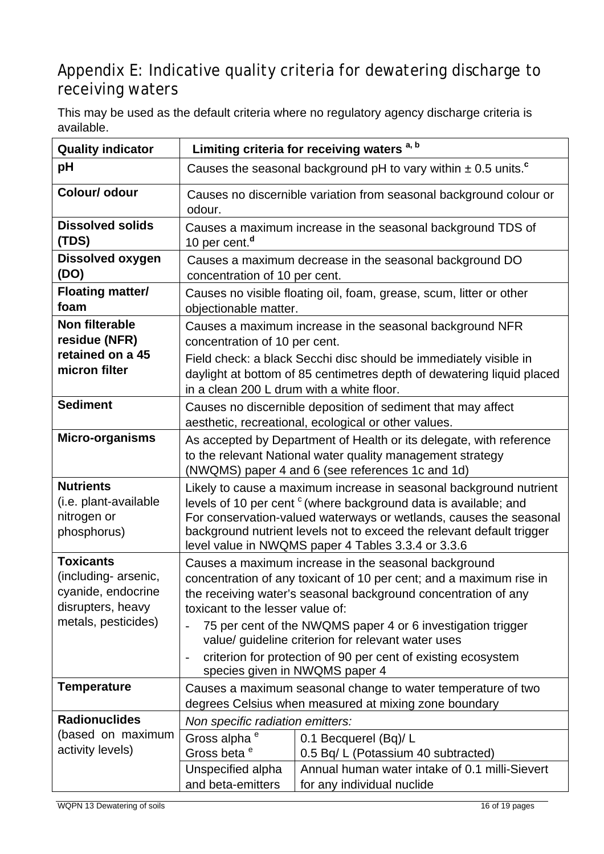# Appendix E: Indicative quality criteria for dewatering discharge to receiving waters

This may be used as the default criteria where no regulatory agency discharge criteria is available.

| <b>Quality indicator</b>                                                                                   | Limiting criteria for receiving waters <sup>a, b</sup>                                                                                                                                                                                                                                                                                                                                                                                                                                                            |                                                                                                                      |  |
|------------------------------------------------------------------------------------------------------------|-------------------------------------------------------------------------------------------------------------------------------------------------------------------------------------------------------------------------------------------------------------------------------------------------------------------------------------------------------------------------------------------------------------------------------------------------------------------------------------------------------------------|----------------------------------------------------------------------------------------------------------------------|--|
| pH                                                                                                         | Causes the seasonal background pH to vary within $\pm$ 0.5 units. <sup>c</sup>                                                                                                                                                                                                                                                                                                                                                                                                                                    |                                                                                                                      |  |
| Colour/ odour                                                                                              | odour.                                                                                                                                                                                                                                                                                                                                                                                                                                                                                                            | Causes no discernible variation from seasonal background colour or                                                   |  |
| <b>Dissolved solids</b><br>(TDS)                                                                           | Causes a maximum increase in the seasonal background TDS of<br>10 per cent. <sup>d</sup>                                                                                                                                                                                                                                                                                                                                                                                                                          |                                                                                                                      |  |
| <b>Dissolved oxygen</b><br>(DO)                                                                            | Causes a maximum decrease in the seasonal background DO<br>concentration of 10 per cent.                                                                                                                                                                                                                                                                                                                                                                                                                          |                                                                                                                      |  |
| <b>Floating matter/</b><br>foam                                                                            | Causes no visible floating oil, foam, grease, scum, litter or other<br>objectionable matter.                                                                                                                                                                                                                                                                                                                                                                                                                      |                                                                                                                      |  |
| Non filterable<br>residue (NFR)<br>retained on a 45<br>micron filter                                       | Causes a maximum increase in the seasonal background NFR<br>concentration of 10 per cent.<br>Field check: a black Secchi disc should be immediately visible in<br>daylight at bottom of 85 centimetres depth of dewatering liquid placed<br>in a clean 200 L drum with a white floor.                                                                                                                                                                                                                             |                                                                                                                      |  |
| <b>Sediment</b>                                                                                            |                                                                                                                                                                                                                                                                                                                                                                                                                                                                                                                   | Causes no discernible deposition of sediment that may affect<br>aesthetic, recreational, ecological or other values. |  |
| Micro-organisms                                                                                            | As accepted by Department of Health or its delegate, with reference<br>to the relevant National water quality management strategy<br>(NWQMS) paper 4 and 6 (see references 1c and 1d)                                                                                                                                                                                                                                                                                                                             |                                                                                                                      |  |
| <b>Nutrients</b><br>(i.e. plant-available<br>nitrogen or<br>phosphorus)                                    | Likely to cause a maximum increase in seasonal background nutrient<br>levels of 10 per cent <sup>c</sup> (where background data is available; and<br>For conservation-valued waterways or wetlands, causes the seasonal<br>background nutrient levels not to exceed the relevant default trigger<br>level value in NWQMS paper 4 Tables 3.3.4 or 3.3.6                                                                                                                                                            |                                                                                                                      |  |
| <b>Toxicants</b><br>(including- arsenic,<br>cyanide, endocrine<br>disrupters, heavy<br>metals, pesticides) | Causes a maximum increase in the seasonal background<br>concentration of any toxicant of 10 per cent; and a maximum rise in<br>the receiving water's seasonal background concentration of any<br>toxicant to the lesser value of:<br>75 per cent of the NWQMS paper 4 or 6 investigation trigger<br>$\overline{\phantom{a}}$<br>value/ guideline criterion for relevant water uses<br>criterion for protection of 90 per cent of existing ecosystem<br>$\overline{\phantom{m}}$<br>species given in NWQMS paper 4 |                                                                                                                      |  |
| <b>Temperature</b>                                                                                         | Causes a maximum seasonal change to water temperature of two                                                                                                                                                                                                                                                                                                                                                                                                                                                      |                                                                                                                      |  |
| <b>Radionuclides</b>                                                                                       | degrees Celsius when measured at mixing zone boundary<br>Non specific radiation emitters:                                                                                                                                                                                                                                                                                                                                                                                                                         |                                                                                                                      |  |
| (based on maximum<br>activity levels)                                                                      | Gross alpha <sup>e</sup><br>Gross beta <sup>e</sup>                                                                                                                                                                                                                                                                                                                                                                                                                                                               | 0.1 Becquerel (Bq)/L<br>0.5 Bq/ L (Potassium 40 subtracted)                                                          |  |
|                                                                                                            | Unspecified alpha<br>and beta-emitters                                                                                                                                                                                                                                                                                                                                                                                                                                                                            | Annual human water intake of 0.1 milli-Sievert<br>for any individual nuclide                                         |  |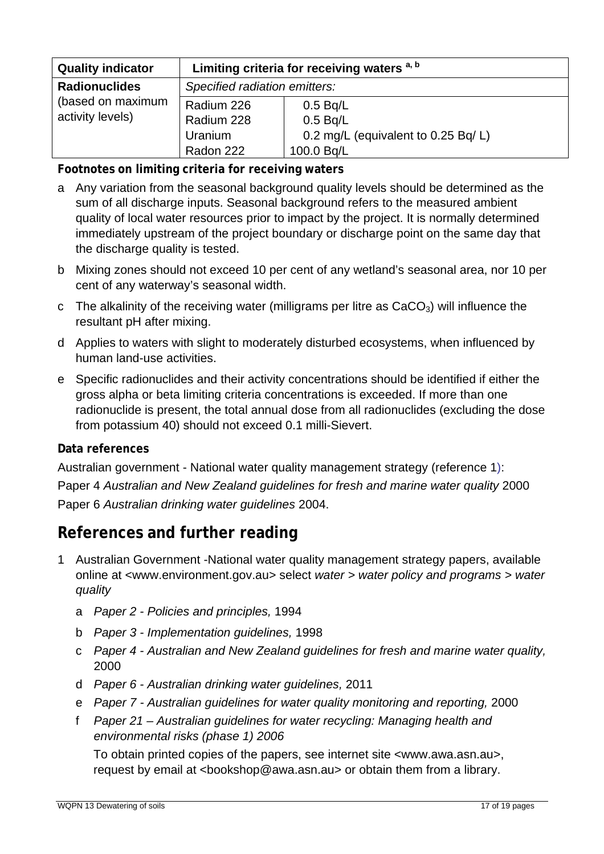| <b>Quality indicator</b>              | Limiting criteria for receiving waters <sup>a, b</sup> |                                     |
|---------------------------------------|--------------------------------------------------------|-------------------------------------|
| <b>Radionuclides</b>                  | Specified radiation emitters:                          |                                     |
| (based on maximum<br>activity levels) | Radium 226                                             | 0.5 Bq/L                            |
|                                       | Radium 228                                             | 0.5 Bq/L                            |
|                                       | Uranium                                                | 0.2 mg/L (equivalent to 0.25 Bq/ L) |
|                                       | Radon 222                                              | 100.0 Bq/L                          |

**Footnotes on limiting criteria for receiving waters** 

- a Any variation from the seasonal background quality levels should be determined as the sum of all discharge inputs. Seasonal background refers to the measured ambient quality of local water resources prior to impact by the project. It is normally determined immediately upstream of the project boundary or discharge point on the same day that the discharge quality is tested.
- b Mixing zones should not exceed 10 per cent of any wetland's seasonal area, nor 10 per cent of any waterway's seasonal width.
- c The alkalinity of the receiving water (milligrams per litre as  $CaCO<sub>3</sub>$ ) will influence the resultant pH after mixing.
- d Applies to waters with slight to moderately disturbed ecosystems, when influenced by human land-use activities.
- e Specific radionuclides and their activity concentrations should be identified if either the gross alpha or beta limiting criteria concentrations is exceeded. If more than one radionuclide is present, the total annual dose from all radionuclides (excluding the dose from potassium 40) should not exceed 0.1 milli-Sievert.

#### **Data references**

Australian government - National water quality management strategy (reference 1): Paper 4 *Australian and New Zealand guidelines for fresh and marine water quality* 2000 Paper 6 *Australian drinking water guidelines* 2004.

## **References and further reading**

- 1 Australian Government -National water quality management strategy papers, available online at [<www.environment.gov.au>](http://www.environment.gov.au/) select *water > water policy and programs > water quality*
	- a *Paper 2 Policies and principles,* 1994
	- b *Paper 3 Implementation guidelines,* 1998
	- c *Paper 4 Australian and New Zealand guidelines for fresh and marine water quality,*  2000
	- d *Paper 6 Australian drinking water guidelines,* 2011
	- e *Paper 7 Australian guidelines for water quality monitoring and reporting,* 2000
	- f *Paper 21 Australian guidelines for water recycling: Managing health and environmental risks (phase 1) 2006*

To obtain printed copies of the papers, see internet site [<www.awa.asn.au](http://www.awa.asn.au/)>, request by email at <[bookshop@awa.asn.au](mailto:bookshop@awa.asn.au)> or obtain them from a library.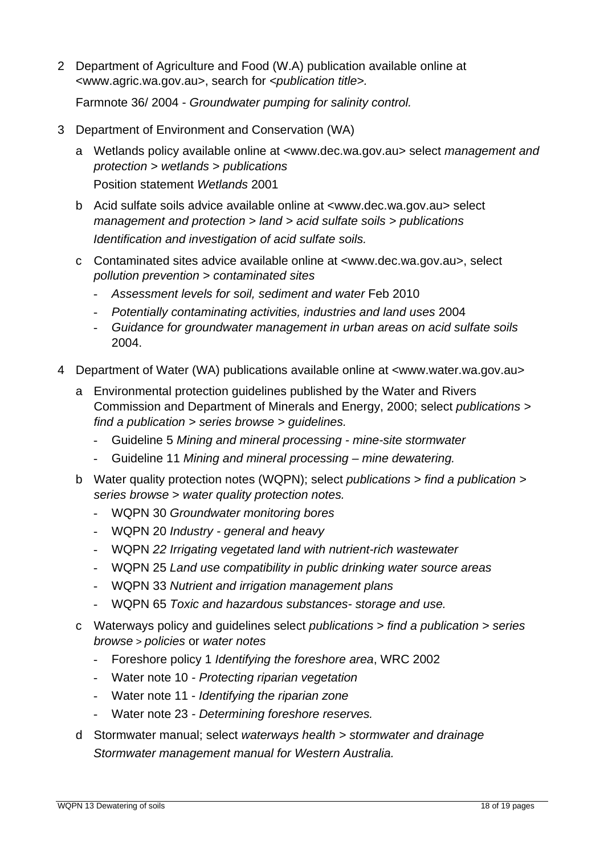2 Department of Agriculture and Food (W.A) publication available online at <[www.agric.wa.gov.au>](http://www.agric.wa.gov.au/), search for *<publication title>.*

Farmnote 36/ 2004 - *Groundwater pumping for salinity control.*

- 3 Department of Environment and Conservation (WA)
	- a Wetlands policy available online at [<www.dec.wa.gov.au>](http://www.dec.wa.gov.au/) select *management and protection > wetlands* > *publications* Position statement *Wetlands* 2001
	- b Acid sulfate soils advice available online at <[www.dec.wa.gov.au](http://www.dec.wa.gov.au/)> select *management and protection > land > acid sulfate soils > publications Identification and investigation of acid sulfate soils.*
	- c Contaminated sites advice available online at <[www.dec.wa.gov.au>](http://www.dec.wa.gov.au/), select *pollution prevention > contaminated sites*
		- *Assessment levels for soil, sediment and water* Feb 2010
		- *Potentially contaminating activities, industries and land uses* 2004
		- *Guidance for groundwater management in urban areas on acid sulfate soils*  2004.
- 4 Department of Water (WA) publications available online at [<www.water.wa.gov.au>](http://www.water.wa.gov.au/)
	- a Environmental protection guidelines published by the Water and Rivers Commission and Department of Minerals and Energy, 2000; select *publications > find a publication > series browse > guidelines.* 
		- Guideline 5 *Mining and mineral processing mine-site stormwater*
		- Guideline 11 *Mining and mineral processing mine dewatering.*
	- b Water quality protection notes (WQPN); select *publications > find a publication > series browse* > *water quality protection notes.* 
		- WQPN 30 *Groundwater monitoring bores*
		- WQPN 20 *Industry general and heavy*
		- WQPN *22 Irrigating vegetated land with nutrient-rich wastewater*
		- WQPN 25 *Land use compatibility in public drinking water source areas*
		- WQPN 33 *Nutrient and irrigation management plans*
		- WQPN 65 *Toxic and hazardous substances- storage and use.*
	- c Waterways policy and guidelines select *publications > find a publication > series browse > policies* or *water notes*
		- Foreshore policy 1 *Identifying the foreshore area*, WRC 2002
		- Water note 10 *Protecting riparian vegetation*
		- Water note 11 *Identifying the riparian zone*
		- Water note 23 *Determining foreshore reserves.*
	- d Stormwater manual; select *waterways health > stormwater and drainage Stormwater management manual for Western Australia.*